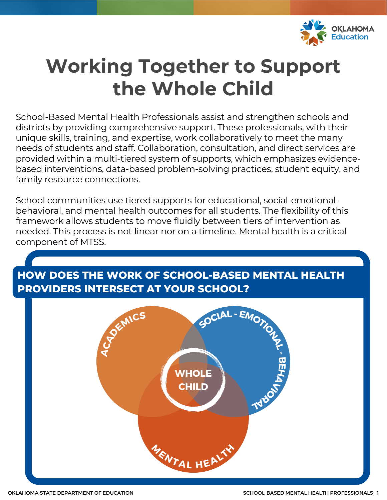

# **Working Together to Support the Whole Child**

School-Based Mental Health Professionals assist and strengthen schools and districts by providing comprehensive support. These professionals, with their unique skills, training, and expertise, work collaboratively to meet the many needs of students and staff. Collaboration, consultation, and direct services are provided within a multi-tiered system of supports, which emphasizes evidencebased interventions, data-based problem-solving practices, student equity, and family resource connections.

School communities use tiered supports for educational, social-emotionalbehavioral, and mental health outcomes for all students. The flexibility of this framework allows students to move fluidly between tiers of intervention as needed. This process is not linear nor on a timeline. Mental health is a critical component of MTSS.

### **HOW DOES THE WORK OF SCHOOL-BASED MENTAL HEALTH PROVIDERS INTERSECT AT YOUR SCHOOL?**

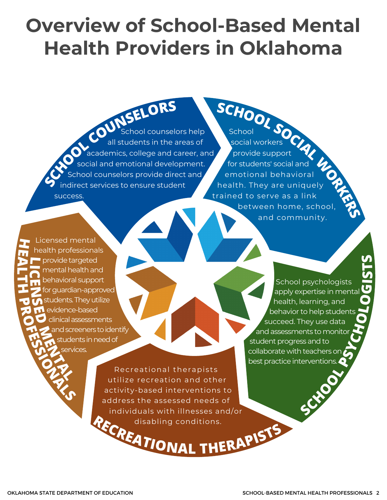# **Overview of School-Based Mental Health Providers in Oklahoma**

**SCHOO<sup>L</sup> <sup>C</sup>OUNSELOR<sup>S</sup>** chool counselors help all students in the areas of cademics, college and career, and social and emotional development. chool counselors provide direct and ndirect services to ensure student success.

**<sup>S</sup>CHOO<sup>L</sup> <sup>S</sup>OC<sup>I</sup>A<sup>L</sup> <sup>W</sup>ORKER<sup>S</sup>** School social workers provide support for students' social and emotional behavioral health. They are uniquely trained to serve as a link between home, school, and community.

**PROFESSIONALS L C E**  $\mathbf{Z}^{\text{fc}}$ **SED MENTAL** Licensed mental health professionals provide targeted mental health and behavioral support for guardian-approved students. They utilize evidence-based clinical assessments and screeners to identify tudents in need of services.

**H**

**EA L T H**

**I**

**<sup>R</sup>ECREATIONA<sup>L</sup> <sup>T</sup>HERAPIST<sup>S</sup>** disabling conditions. Recreational therapists utilize recreation and other activity-based interventions to address the assessed needs of individuals with illnesses and/or

**SCHOOL PSYCHOLO** School psychologists apply expertise in menta health, learning, and behavior to help students succeed. They use data and assessments to monito student progress and to collaborate with teachers or best practice interventions

**GI** <u>ဟ</u> **T** $\bullet$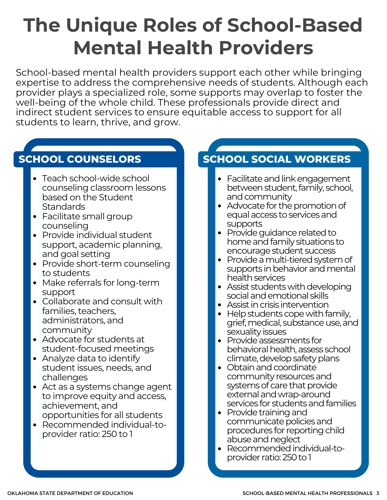# **The Unique Roles of School-Based Mental Health Providers**

School-based mental health providers support each other while bringing expertise to address the comprehensive needs of students. Although each provider plays a specialized role, some supports may overlap to foster the well-being of the whole child. These professionals provide direct and indirect student services to ensure equitable access to support for all students to learn, thrive, and grow.

### **SCHOOL COUNSELORS**

- Teach school-wide school counseling classroom lessons based on the Student **Standards**
- Facilitate small group counseling
- Provide individual student support, academic planning, and goal setting
- Provide short-term counseling to students
- Make referrals for long-term support
- Collaborate and consult with families, teachers, administrators, and community
- Advocate for students at student-focused meetings
- Analyze data to identify student issues, needs, and challenges
- Act as a systems change agent to improve equity and access, achievement, and opportunities for all students
- Recommended individual-toprovider ratio: 250 to 1

### **SCHOOL SOCIAL WORKERS**

- Facilitate and link engagement between student, family, school, and community
- Advocate for the promotion of equal access to services and supports
- Provide quidance related to home and family situations to encourage student success
- Provide a multi-tiered system of supports in behavior and mental health services
- Assist students with developing social and emotional skills
- Assist in crisis intervention
- $\bullet\;$  Help students cope with family, grief, medical, substance use, and sexuality issues
- Provide assessments for behavioral health, assess school climate, develop safety plans
- Obtain and coordinate community resourcesand systems of care that provide external and wrap-around services for students and families
- $\bullet$  Provide training and communicate policies and procedures for reporting child abuse and neglect
- Recommended individual-toprovider ratio:250to1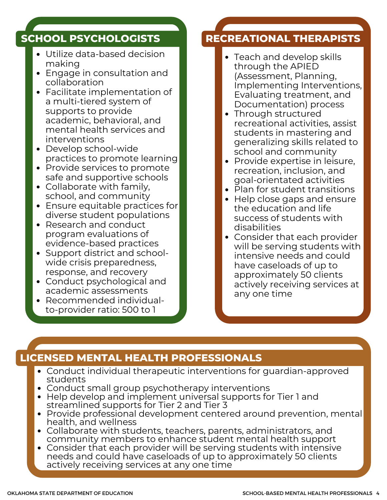#### **SCHOOL PSYCHOLOGISTS**

- Utilize data-based decision making
- Engage in consultation and collaboration
- Facilitate implementation of a multi-tiered system of supports to provide academic, behavioral, and mental health services and interventions
- Develop school-wide practices to promote learning
- Provide services to promote safe and supportive schools
- Collaborate with family, school, and community
- Ensure equitable practices for diverse student populations
- Research and conduct program evaluations of evidence-based practices
- Support district and schoolwide crisis preparedness, response, and recovery
- Conduct psychological and academic assessments
- Recommended individualto-provider ratio: 500 to 1

### **RECREATIONAL THERAPISTS**

- Teach and develop skills through the APIED (Assessment, Planning, Implementing Interventions, Evaluating treatment, and Documentation) process
- Through structured recreational activities, assist students in mastering and generalizing skills related to school and community
- Provide expertise in leisure, recreation, inclusion, and goal-orientated activities
- Plan for student transitions
- Help close gaps and ensure the education and life success of students with disabilities
- Consider that each provider will be serving students with intensive needs and could have caseloads of up to approximately 50 clients actively receiving services at any one time

### **LICENSED MENTAL HEALTH PROFESSIONALS**

- Conduct individual therapeutic interventions for guardian-approved students
- Conduct small group psychotherapy interventions
- Help develop and implement universal supports for Tier 1 and streamlined supports for Tier 2 and Tier 3
- Provide professional development centered around prevention, mental health, and wellness
- Collaborate with students, teachers, parents, administrators, and community members to enhance student mental health support
- Consider that each provider will be serving students with intensive needs and could have caseloads of up to approximately 50 clients actively receiving services at any one time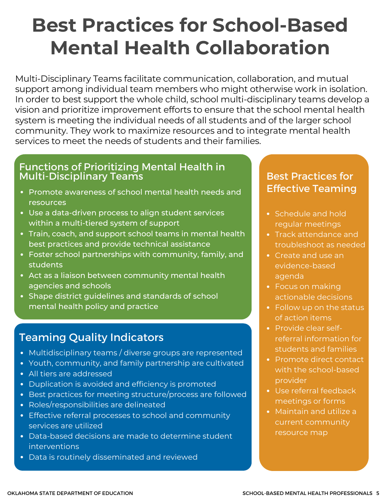# **Best Practices for School-Based Mental Health Collaboration**

Multi-Disciplinary Teams facilitate communication, collaboration, and mutual support among individual team members who might otherwise work in isolation. In order to best support the whole child, school multi-disciplinary teams develop a vision and prioritize improvement efforts to ensure that the school mental health system is meeting the individual needs of all students and of the larger school community. They work to maximize resources and to integrate mental health services to meet the needs of students and their families.

#### Functions of Prioritizing Mental Health in Multi-Disciplinary Teams

- Promote awareness of school mental health needs and resources
- Use a data-driven process to align student services within a multi-tiered system of support
- Train, coach, and support school teams in mental health best practices and provide technical assistance
- Foster school partnerships with community, family, and students
- Act as a liaison between community mental health agencies and schools
- Shape district guidelines and standards of school mental health policy and practice

### Teaming Quality Indicators

- Multidisciplinary teams / diverse groups are represented
- Youth, community, and family partnership are cultivated
- All tiers are addressed
- Duplication is avoided and efficiency is promoted
- Best practices for meeting structure/process are followed
- Roles/responsibilities are delineated
- Effective referral processes to school and community services are utilized
- Data-based decisions are made to determine student interventions
- Data is routinely disseminated and reviewed

#### Best Practices for Effective Teaming

- Schedule and hold regular meetings
- Track attendance and troubleshoot as needed
- Create and use an evidence-based agenda
- Focus on making actionable decisions
- Follow up on the status of action items
- Provide clear selfreferral information for students and families
- Promote direct contact with the school-based provider
- Use referral feedback meetings or forms
- Maintain and utilize a current community resource map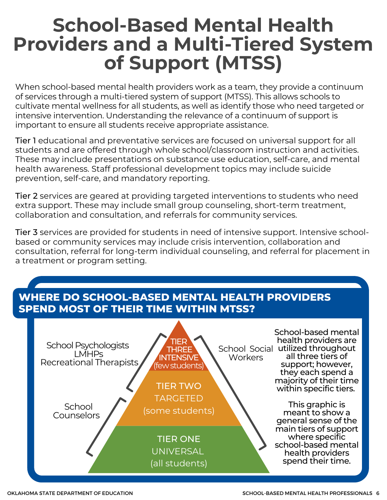## **School-Based Mental Health Providers and a Multi-Tiered System of Support (MTSS)**

When school-based mental health providers work as a team, they provide a continuum of services through a multi-tiered system of support (MTSS). This allows schools to cultivate mental wellness for all students, as well as identify those who need targeted or intensive intervention. Understanding the relevance of a continuum of support is important to ensure all students receive appropriate assistance.

Tier 1 educational and preventative services are focused on universal support for all students and are offered through whole school/classroom instruction and activities. These may include presentations on substance use education, self-care, and mental health awareness. Staff professional development topics may include suicide prevention, self-care, and mandatory reporting.

Tier 2 services are geared at providing targeted interventions to students who need extra support. These may include small group counseling, short-term treatment, collaboration and consultation, and referrals for community services.

Tier 3 services are provided for students in need of intensive support. Intensive schoolbased or community services may include crisis intervention, collaboration and consultation, referral for long-term individual counseling, and referral for placement in a treatment or program setting.

#### **WHERE DO SCHOOL-BASED MENTAL HEALTH PROVIDERS SPEND MOST OF THEIR TIME WITHIN MTSS?**